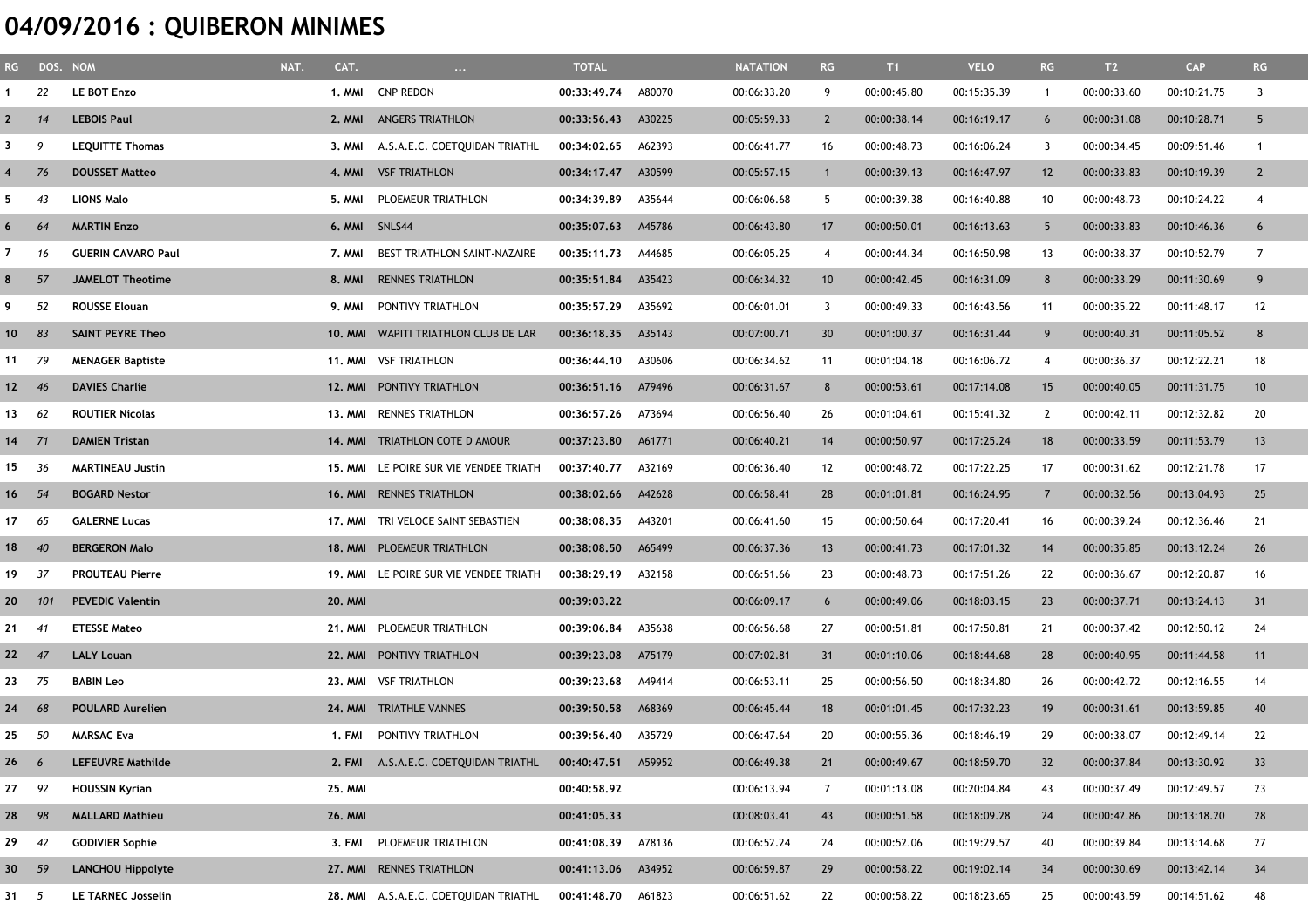## 04/09/2016 : QUIBERON MINIMES

| RG           |      | DOS. NOM                  | NAT.<br>CAT.   | $\cdots$                              | <b>TOTAL</b>       |        | <b>NATATION</b> | <b>RG</b>       | T1          | <b>VELO</b> | RG             | T2          | <b>CAP</b>  | RG              |
|--------------|------|---------------------------|----------------|---------------------------------------|--------------------|--------|-----------------|-----------------|-------------|-------------|----------------|-------------|-------------|-----------------|
|              | 22   | LE BOT Enzo               | 1. MMI         | <b>CNP REDON</b>                      | 00:33:49.74        | A80070 | 00:06:33.20     | 9               | 00:00:45.80 | 00:15:35.39 | $\mathbf{1}$   | 00:00:33.60 | 00:10:21.75 | 3               |
| $\mathbf{2}$ | 14   | <b>LEBOIS Paul</b>        | 2. MMI         | <b>ANGERS TRIATHLON</b>               | 00:33:56.43        | A30225 | 00:05:59.33     | $\overline{2}$  | 00:00:38.14 | 00:16:19.17 | 6              | 00:00:31.08 | 00:10:28.71 | 5               |
| 3            | 9    | <b>LEQUITTE Thomas</b>    | 3. MMI         | A.S.A.E.C. COETQUIDAN TRIATHL         | 00:34:02.65        | A62393 | 00:06:41.77     | 16              | 00:00:48.73 | 00:16:06.24 | 3              | 00:00:34.45 | 00:09:51.46 | $\overline{1}$  |
| 4            | 76   | <b>DOUSSET Matteo</b>     | 4. MMI         | <b>VSF TRIATHLON</b>                  | 00:34:17.47        | A30599 | 00:05:57.15     | $\overline{1}$  | 00:00:39.13 | 00:16:47.97 | 12             | 00:00:33.83 | 00:10:19.39 | $\overline{2}$  |
| 5            | 43   | <b>LIONS Malo</b>         | 5. MMI         | PLOEMEUR TRIATHLON                    | 00:34:39.89        | A35644 | 00:06:06.68     | 5               | 00:00:39.38 | 00:16:40.88 | 10             | 00:00:48.73 | 00:10:24.22 | 4               |
| 6            | 64   | <b>MARTIN Enzo</b>        | 6. MMI         | SNLS44                                | 00:35:07.63        | A45786 | 00:06:43.80     | 17              | 00:00:50.01 | 00:16:13.63 | 5              | 00:00:33.83 | 00:10:46.36 | 6               |
| 7            | 16   | <b>GUERIN CAVARO Paul</b> | 7. MMI         | BEST TRIATHLON SAINT-NAZAIRE          | 00:35:11.73        | A44685 | 00:06:05.25     | 4               | 00:00:44.34 | 00:16:50.98 | 13             | 00:00:38.37 | 00:10:52.79 | $\overline{7}$  |
| 8            | 57   | <b>JAMELOT Theotime</b>   | 8. MMI         | <b>RENNES TRIATHLON</b>               | 00:35:51.84        | A35423 | 00:06:34.32     | 10 <sup>°</sup> | 00:00:42.45 | 00:16:31.09 | 8              | 00:00:33.29 | 00:11:30.69 | 9               |
| 9            | 52   | <b>ROUSSE Elouan</b>      | 9. MMI         | PONTIVY TRIATHLON                     | 00:35:57.29        | A35692 | 00:06:01.01     | 3               | 00:00:49.33 | 00:16:43.56 | 11             | 00:00:35.22 | 00:11:48.17 | 12              |
| 10           | 83   | <b>SAINT PEYRE Theo</b>   |                | 10. MMI WAPITI TRIATHLON CLUB DE LAR  | 00:36:18.35        | A35143 | 00:07:00.71     | 30              | 00:01:00.37 | 00:16:31.44 | 9              | 00:00:40.31 | 00:11:05.52 | 8               |
| 11 79        |      | <b>MENAGER Baptiste</b>   |                | 11. MMI VSF TRIATHLON                 | 00:36:44.10        | A30606 | 00:06:34.62     | 11              | 00:01:04.18 | 00:16:06.72 | 4              | 00:00:36.37 | 00:12:22.21 | 18              |
| 12           | - 46 | <b>DAVIES Charlie</b>     | <b>12. MMI</b> | PONTIVY TRIATHLON                     | 00:36:51.16        | A79496 | 00:06:31.67     | 8               | 00:00:53.61 | 00:17:14.08 | 15             | 00:00:40.05 | 00:11:31.75 | 10 <sup>°</sup> |
| 13           | 62   | <b>ROUTIER Nicolas</b>    | 13. MMI        | RENNES TRIATHLON                      | 00:36:57.26        | A73694 | 00:06:56.40     | 26              | 00:01:04.61 | 00:15:41.32 | $\overline{2}$ | 00:00:42.11 | 00:12:32.82 | 20              |
| 14           | 71   | <b>DAMIEN Tristan</b>     | 14. MMI        | TRIATHLON COTE D AMOUR                | 00:37:23.80        | A61771 | 00:06:40.21     | 14              | 00:00:50.97 | 00:17:25.24 | 18             | 00:00:33.59 | 00:11:53.79 | 13              |
| 15           | - 36 | <b>MARTINEAU Justin</b>   | 15. MMI        | LE POIRE SUR VIE VENDEE TRIATH        | 00:37:40.77        | A32169 | 00:06:36.40     | 12              | 00:00:48.72 | 00:17:22.25 | 17             | 00:00:31.62 | 00:12:21.78 | 17              |
| 16           | 54   | <b>BOGARD Nestor</b>      |                | <b>16. MMI RENNES TRIATHLON</b>       | 00:38:02.66        | A42628 | 00:06:58.41     | 28              | 00:01:01.81 | 00:16:24.95 | $\overline{7}$ | 00:00:32.56 | 00:13:04.93 | 25              |
| 17           | 65   | <b>GALERNE Lucas</b>      |                | 17. MMI TRI VELOCE SAINT SEBASTIEN    | 00:38:08.35        | A43201 | 00:06:41.60     | 15              | 00:00:50.64 | 00:17:20.41 | 16             | 00:00:39.24 | 00:12:36.46 | 21              |
| 18           | 40   | <b>BERGERON Malo</b>      |                | 18. MMI PLOEMEUR TRIATHLON            | 00:38:08.50        | A65499 | 00:06:37.36     | 13              | 00:00:41.73 | 00:17:01.32 | 14             | 00:00:35.85 | 00:13:12.24 | 26              |
| 19           | 37   | <b>PROUTEAU Pierre</b>    | 19. MMI        | LE POIRE SUR VIE VENDEE TRIATH        | 00:38:29.19        | A32158 | 00:06:51.66     | 23              | 00:00:48.73 | 00:17:51.26 | 22             | 00:00:36.67 | 00:12:20.87 | 16              |
| 20           | 101  | <b>PEVEDIC Valentin</b>   | <b>20. MMI</b> |                                       | 00:39:03.22        |        | 00:06:09.17     | 6               | 00:00:49.06 | 00:18:03.15 | 23             | 00:00:37.71 | 00:13:24.13 | 31              |
| 21           | -41  | <b>ETESSE Mateo</b>       | 21. MMI        | PLOEMEUR TRIATHLON                    | 00:39:06.84        | A35638 | 00:06:56.68     | 27              | 00:00:51.81 | 00:17:50.81 | 21             | 00:00:37.42 | 00:12:50.12 | 24              |
| 22           | 47   | <b>LALY Louan</b>         |                | 22. MMI PONTIVY TRIATHLON             | 00:39:23.08        | A75179 | 00:07:02.81     | 31              | 00:01:10.06 | 00:18:44.68 | 28             | 00:00:40.95 | 00:11:44.58 | 11              |
| 23           | 75   | <b>BABIN Leo</b>          |                | 23. MMI VSF TRIATHLON                 | 00:39:23.68        | A49414 | 00:06:53.11     | 25              | 00:00:56.50 | 00:18:34.80 | 26             | 00:00:42.72 | 00:12:16.55 | 14              |
| 24           | 68   | <b>POULARD Aurelien</b>   |                | 24. MMI TRIATHLE VANNES               | 00:39:50.58        | A68369 | 00:06:45.44     | 18              | 00:01:01.45 | 00:17:32.23 | 19             | 00:00:31.61 | 00:13:59.85 | 40              |
| 25           | 50   | <b>MARSAC Eva</b>         |                | 1. FMI PONTIVY TRIATHLON              | 00:39:56.40        | A35729 | 00:06:47.64     | 20              | 00:00:55.36 | 00:18:46.19 | 29             | 00:00:38.07 | 00:12:49.14 | 22              |
| 26           | 6    | <b>LEFEUVRE Mathilde</b>  |                | 2. FMI A.S.A.E.C. COETQUIDAN TRIATHL  | 00:40:47.51 A59952 |        | 00:06:49.38     | 21              | 00:00:49.67 | 00:18:59.70 | 32             | 00:00:37.84 | 00:13:30.92 | 33              |
| 27           | 92   | <b>HOUSSIN Kyrian</b>     | <b>25. MMI</b> |                                       | 00:40:58.92        |        | 00:06:13.94     | 7               | 00:01:13.08 | 00:20:04.84 | 43             | 00:00:37.49 | 00:12:49.57 | 23              |
| 28           | - 98 | <b>MALLARD Mathieu</b>    | <b>26. MMI</b> |                                       | 00:41:05.33        |        | 00:08:03.41     | 43              | 00:00:51.58 | 00:18:09.28 | 24             | 00:00:42.86 | 00:13:18.20 | 28              |
| 29           | 42   | <b>GODIVIER Sophie</b>    |                | 3. FMI PLOEMEUR TRIATHLON             | 00:41:08.39        | A78136 | 00:06:52.24     | 24              | 00:00:52.06 | 00:19:29.57 | 40             | 00:00:39.84 | 00:13:14.68 | 27              |
| 30 59        |      | <b>LANCHOU Hippolyte</b>  |                | 27. MMI RENNES TRIATHLON              | 00:41:13.06        | A34952 | 00:06:59.87     | 29              | 00:00:58.22 | 00:19:02.14 | 34             | 00:00:30.69 | 00:13:42.14 | 34              |
| $31 \quad 5$ |      | <b>LE TARNEC Josselin</b> |                | 28. MMI A.S.A.E.C. COETQUIDAN TRIATHL | 00:41:48.70        | A61823 | 00:06:51.62     | 22              | 00:00:58.22 | 00:18:23.65 | 25             | 00:00:43.59 | 00:14:51.62 | 48              |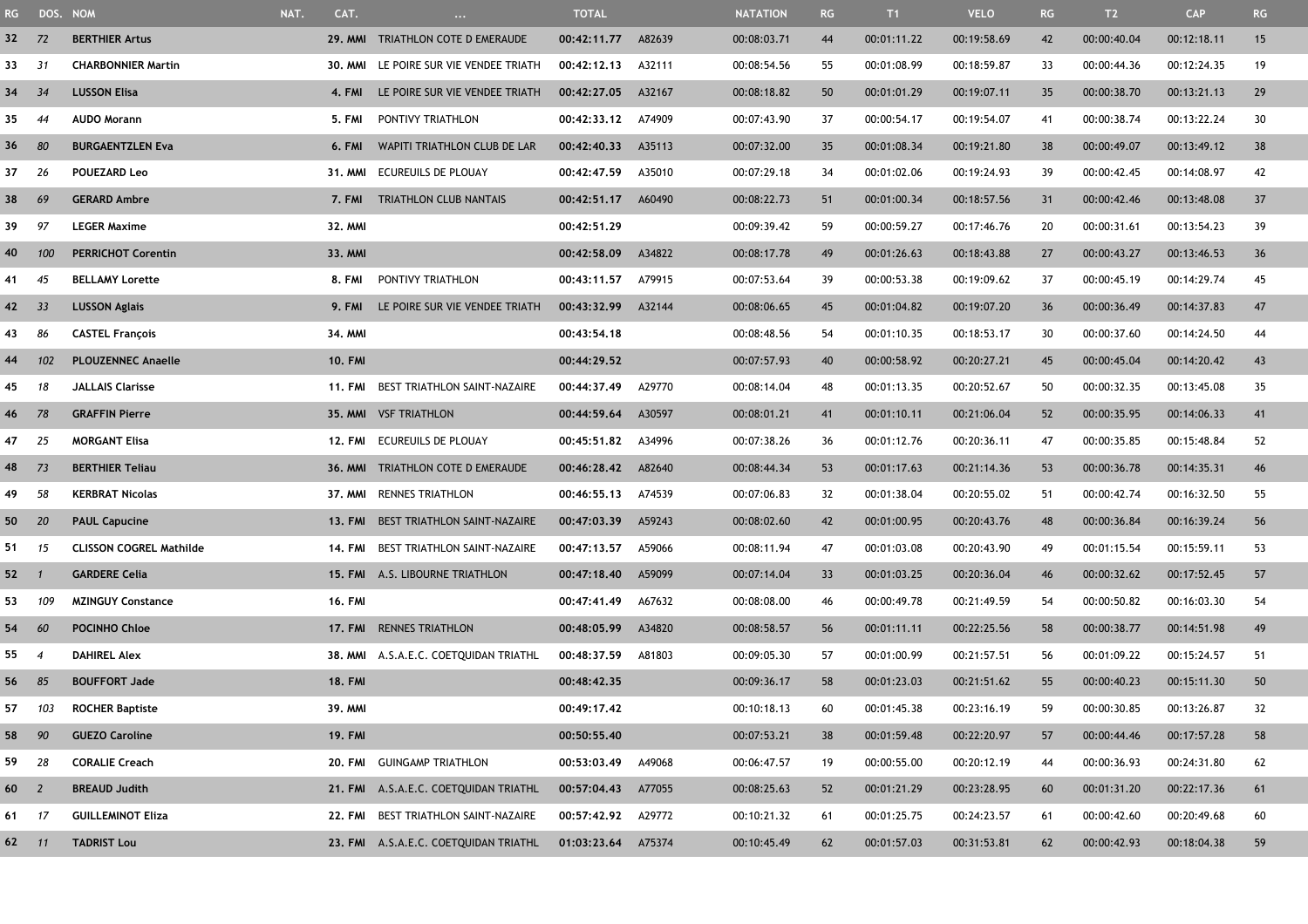| <b>RG</b>       | DOS. NOM       |                                | CAT.<br>NAT.   | $\ldots$                              | <b>TOTAL</b> |        | <b>NATATION</b> | RG | T1          | <b>VELO</b> | RG  | T2          | <b>CAP</b>  | RG |
|-----------------|----------------|--------------------------------|----------------|---------------------------------------|--------------|--------|-----------------|----|-------------|-------------|-----|-------------|-------------|----|
| 32 <sub>2</sub> | 72             | <b>BERTHIER Artus</b>          |                | 29. MMI TRIATHLON COTE D EMERAUDE     | 00:42:11.77  | A82639 | 00:08:03.71     | 44 | 00:01:11.22 | 00:19:58.69 | 42  | 00:00:40.04 | 00:12:18.11 | 15 |
| 33              | 31             | <b>CHARBONNIER Martin</b>      | 30. MMI        | LE POIRE SUR VIE VENDEE TRIATH        | 00:42:12.13  | A32111 | 00:08:54.56     | 55 | 00:01:08.99 | 00:18:59.87 | 33  | 00:00:44.36 | 00:12:24.35 | 19 |
| 34              | 34             | <b>LUSSON Elisa</b>            | 4. FMI         | LE POIRE SUR VIE VENDEE TRIATH        | 00:42:27.05  | A32167 | 00:08:18.82     | 50 | 00:01:01.29 | 00:19:07.11 | 35  | 00:00:38.70 | 00:13:21.13 | 29 |
| 35              | 44             | <b>AUDO Morann</b>             | 5. FMI         | PONTIVY TRIATHLON                     | 00:42:33.12  | A74909 | 00:07:43.90     | 37 | 00:00:54.17 | 00:19:54.07 | 41  | 00:00:38.74 | 00:13:22.24 | 30 |
| 36              | -80            | <b>BURGAENTZLEN Eva</b>        | 6. FMI         | WAPITI TRIATHLON CLUB DE LAR          | 00:42:40.33  | A35113 | 00:07:32.00     | 35 | 00:01:08.34 | 00:19:21.80 | 38  | 00:00:49.07 | 00:13:49.12 | 38 |
| 37              | 26             | <b>POUEZARD Leo</b>            | 31. MMI        | ECUREUILS DE PLOUAY                   | 00:42:47.59  | A35010 | 00:07:29.18     | 34 | 00:01:02.06 | 00:19:24.93 | -39 | 00:00:42.45 | 00:14:08.97 | 42 |
| 38              | 69             | <b>GERARD Ambre</b>            | 7. FMI         | <b>TRIATHLON CLUB NANTAIS</b>         | 00:42:51.17  | A60490 | 00:08:22.73     | 51 | 00:01:00.34 | 00:18:57.56 | 31  | 00:00:42.46 | 00:13:48.08 | 37 |
| 39              | 97             | <b>LEGER Maxime</b>            | 32. MMI        |                                       | 00:42:51.29  |        | 00:09:39.42     | 59 | 00:00:59.27 | 00:17:46.76 | 20  | 00:00:31.61 | 00:13:54.23 | 39 |
| 40              | 100            | <b>PERRICHOT Corentin</b>      | 33. MMI        |                                       | 00:42:58.09  | A34822 | 00:08:17.78     | 49 | 00:01:26.63 | 00:18:43.88 | 27  | 00:00:43.27 | 00:13:46.53 | 36 |
| 41              | 45             | <b>BELLAMY Lorette</b>         | 8. FMI         | PONTIVY TRIATHLON                     | 00:43:11.57  | A79915 | 00:07:53.64     | 39 | 00:00:53.38 | 00:19:09.62 | -37 | 00:00:45.19 | 00:14:29.74 | 45 |
| 42              | 33             | <b>LUSSON Aglais</b>           | 9. FMI         | LE POIRE SUR VIE VENDEE TRIATH        | 00:43:32.99  | A32144 | 00:08:06.65     | 45 | 00:01:04.82 | 00:19:07.20 | 36  | 00:00:36.49 | 00:14:37.83 | 47 |
| 43              | 86             | <b>CASTEL François</b>         | 34. MMI        |                                       | 00:43:54.18  |        | 00:08:48.56     | 54 | 00:01:10.35 | 00:18:53.17 | 30  | 00:00:37.60 | 00:14:24.50 | 44 |
| 44              | 102            | <b>PLOUZENNEC Anaelle</b>      | <b>10. FMI</b> |                                       | 00:44:29.52  |        | 00:07:57.93     | 40 | 00:00:58.92 | 00:20:27.21 | 45  | 00:00:45.04 | 00:14:20.42 | 43 |
| 45              | 18             | <b>JALLAIS Clarisse</b>        |                | 11. FMI BEST TRIATHLON SAINT-NAZAIRE  | 00:44:37.49  | A29770 | 00:08:14.04     | 48 | 00:01:13.35 | 00:20:52.67 | 50  | 00:00:32.35 | 00:13:45.08 | 35 |
| 46              | 78             | <b>GRAFFIN Pierre</b>          |                | 35. MMI VSF TRIATHLON                 | 00:44:59.64  | A30597 | 00:08:01.21     | 41 | 00:01:10.11 | 00:21:06.04 | 52  | 00:00:35.95 | 00:14:06.33 | 41 |
| 47              | 25             | <b>MORGANT Elisa</b>           |                | 12. FMI ECUREUILS DE PLOUAY           | 00:45:51.82  | A34996 | 00:07:38.26     | 36 | 00:01:12.76 | 00:20:36.11 | 47  | 00:00:35.85 | 00:15:48.84 | 52 |
| 48              | 73             | <b>BERTHIER Teliau</b>         |                | 36, MMI TRIATHLON COTE D EMERAUDE     | 00:46:28.42  | A82640 | 00:08:44.34     | 53 | 00:01:17.63 | 00:21:14.36 | 53  | 00:00:36.78 | 00:14:35.31 | 46 |
| 49              | 58             | <b>KERBRAT Nicolas</b>         | 37. MMI        | <b>RENNES TRIATHLON</b>               | 00:46:55.13  | A74539 | 00:07:06.83     | 32 | 00:01:38.04 | 00:20:55.02 | 51  | 00:00:42.74 | 00:16:32.50 | 55 |
| 50              | - 20           | <b>PAUL Capucine</b>           | <b>13. FMI</b> | <b>BEST TRIATHLON SAINT-NAZAIRE</b>   | 00:47:03.39  | A59243 | 00:08:02.60     | 42 | 00:01:00.95 | 00:20:43.76 | 48  | 00:00:36.84 | 00:16:39.24 | 56 |
| 51              | 15             | <b>CLISSON COGREL Mathilde</b> | 14. FMI        | BEST TRIATHLON SAINT-NAZAIRE          | 00:47:13.57  | A59066 | 00:08:11.94     | 47 | 00:01:03.08 | 00:20:43.90 | 49  | 00:01:15.54 | 00:15:59.11 | 53 |
| 52              | $\mathbf{1}$   | <b>GARDERE Celia</b>           |                | 15. FMI A.S. LIBOURNE TRIATHLON       | 00:47:18.40  | A59099 | 00:07:14.04     | 33 | 00:01:03.25 | 00:20:36.04 | 46  | 00:00:32.62 | 00:17:52.45 | 57 |
| 53              | 109            | <b>MZINGUY Constance</b>       | <b>16. FMI</b> |                                       | 00:47:41.49  | A67632 | 00:08:08.00     | 46 | 00:00:49.78 | 00:21:49.59 | 54  | 00:00:50.82 | 00:16:03.30 | 54 |
| 54              | 60             | <b>POCINHO Chloe</b>           |                | 17. FMI RENNES TRIATHLON              | 00:48:05.99  | A34820 | 00:08:58.57     | 56 | 00:01:11.11 | 00:22:25.56 | 58  | 00:00:38.77 | 00:14:51.98 | 49 |
| 55              | $\overline{4}$ | <b>DAHIREL Alex</b>            |                | 38. MMI A.S.A.E.C. COETQUIDAN TRIATHL | 00:48:37.59  | A81803 | 00:09:05.30     | 57 | 00:01:00.99 | 00:21:57.51 | 56  | 00:01:09.22 | 00:15:24.57 | 51 |
| 56              | 85             | <b>BOUFFORT Jade</b>           | <b>18. FMI</b> |                                       | 00:48:42.35  |        | 00:09:36.17     | 58 | 00:01:23.03 | 00:21:51.62 | 55  | 00:00:40.23 | 00:15:11.30 | 50 |
| 57              | 103            | <b>ROCHER Baptiste</b>         | 39. MMI        |                                       | 00:49:17.42  |        | 00:10:18.13     | 60 | 00:01:45.38 | 00:23:16.19 | 59  | 00:00:30.85 | 00:13:26.87 | 32 |
| 58              | - 90           | <b>GUEZO Caroline</b>          | <b>19. FMI</b> |                                       | 00:50:55.40  |        | 00:07:53.21     | 38 | 00:01:59.48 | 00:22:20.97 | 57  | 00:00:44.46 | 00:17:57.28 | 58 |
| 59              | - 28           | <b>CORALIE Creach</b>          |                | 20. FMI GUINGAMP TRIATHLON            | 00:53:03.49  | A49068 | 00:06:47.57     | 19 | 00:00:55.00 | 00:20:12.19 | 44  | 00:00:36.93 | 00:24:31.80 | 62 |
| $60$ 2          |                | <b>BREAUD Judith</b>           |                | 21. FMI A.S.A.E.C. COETQUIDAN TRIATHL | 00:57:04.43  | A77055 | 00:08:25.63     | 52 | 00:01:21.29 | 00:23:28.95 | 60  | 00:01:31.20 | 00:22:17.36 | 61 |
| 61              | 17             | <b>GUILLEMINOT Eliza</b>       |                | 22. FMI BEST TRIATHLON SAINT-NAZAIRE  | 00:57:42.92  | A29772 | 00:10:21.32     | 61 | 00:01:25.75 | 00:24:23.57 | 61  | 00:00:42.60 | 00:20:49.68 | 60 |
| 62 11           |                | <b>TADRIST Lou</b>             |                | 23. FMI A.S.A.E.C. COETQUIDAN TRIATHL | 01:03:23.64  | A75374 | 00:10:45.49     | 62 | 00:01:57.03 | 00:31:53.81 | 62  | 00:00:42.93 | 00:18:04.38 | 59 |